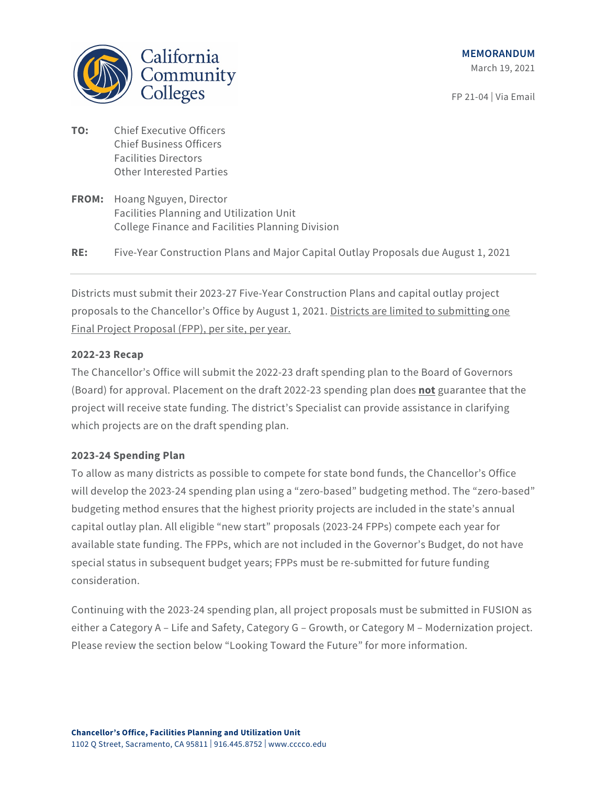California Community Colleges

FP 21-04 | Via Email

- **TO:** Chief Executive Officers Chief Business Officers Facilities Directors Other Interested Parties
- **FROM:** Hoang Nguyen, Director Facilities Planning and Utilization Unit College Finance and Facilities Planning Division

**RE:** Five-Year Construction Plans and Major Capital Outlay Proposals due August 1, 2021

Districts must submit their 2023-27 Five-Year Construction Plans and capital outlay project proposals to the Chancellor's Office by August 1, 2021. Districts are limited to submitting one Final Project Proposal (FPP), per site, per year.

### **2022-23 Recap**

The Chancellor's Office will submit the 2022-23 draft spending plan to the Board of Governors (Board) for approval. Placement on the draft 2022-23 spending plan does **not** guarantee that the project will receive state funding. The district's Specialist can provide assistance in clarifying which projects are on the draft spending plan.

# **2023-24 Spending Plan**

To allow as many districts as possible to compete for state bond funds, the Chancellor's Office will develop the 2023-24 spending plan using a "zero-based" budgeting method. The "zero-based" budgeting method ensures that the highest priority projects are included in the state's annual capital outlay plan. All eligible "new start" proposals (2023-24 FPPs) compete each year for available state funding. The FPPs, which are not included in the Governor's Budget, do not have special status in subsequent budget years; FPPs must be re-submitted for future funding consideration.

Continuing with the 2023-24 spending plan, all project proposals must be submitted in FUSION as either a Category A – Life and Safety, Category G – Growth, or Category M – Modernization project. Please review the section below "Looking Toward the Future" for more information.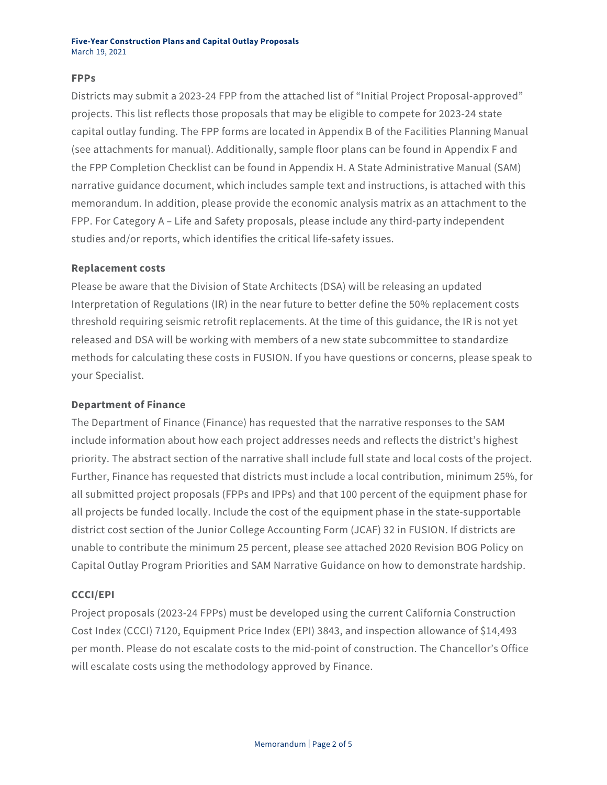#### **FPPs**

Districts may submit a 2023-24 FPP from the attached list of "Initial Project Proposal-approved" projects. This list reflects those proposals that may be eligible to compete for 2023-24 state capital outlay funding. The FPP forms are located in Appendix B of the Facilities Planning Manual (see attachments for manual). Additionally, sample floor plans can be found in Appendix F and the FPP Completion Checklist can be found in Appendix H. A State Administrative Manual (SAM) narrative guidance document, which includes sample text and instructions, is attached with this memorandum. In addition, please provide the economic analysis matrix as an attachment to the FPP. For Category A – Life and Safety proposals, please include any third-party independent studies and/or reports, which identifies the critical life-safety issues.

#### **Replacement costs**

Please be aware that the Division of State Architects (DSA) will be releasing an updated Interpretation of Regulations (IR) in the near future to better define the 50% replacement costs threshold requiring seismic retrofit replacements. At the time of this guidance, the IR is not yet released and DSA will be working with members of a new state subcommittee to standardize methods for calculating these costs in FUSION. If you have questions or concerns, please speak to your Specialist.

#### **Department of Finance**

The Department of Finance (Finance) has requested that the narrative responses to the SAM include information about how each project addresses needs and reflects the district's highest priority. The abstract section of the narrative shall include full state and local costs of the project. Further, Finance has requested that districts must include a local contribution, minimum 25%, for all submitted project proposals (FPPs and IPPs) and that 100 percent of the equipment phase for all projects be funded locally. Include the cost of the equipment phase in the state-supportable district cost section of the Junior College Accounting Form (JCAF) 32 in FUSION. If districts are unable to contribute the minimum 25 percent, please see attached 2020 Revision BOG Policy on Capital Outlay Program Priorities and SAM Narrative Guidance on how to demonstrate hardship.

#### **CCCI/EPI**

Project proposals (2023-24 FPPs) must be developed using the current California Construction Cost Index (CCCI) 7120, Equipment Price Index (EPI) 3843, and inspection allowance of \$14,493 per month. Please do not escalate costs to the mid-point of construction. The Chancellor's Office will escalate costs using the methodology approved by Finance.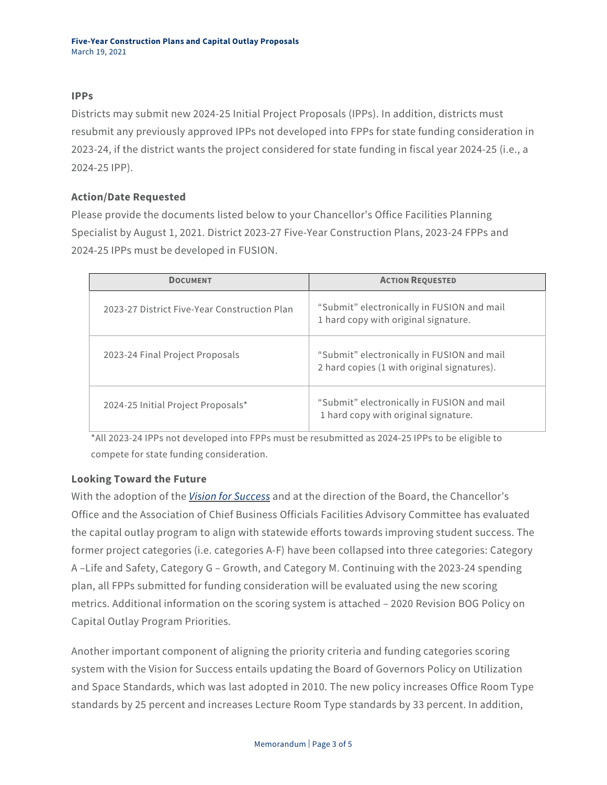#### **IPPs**

Districts may submit new 2024-25 Initial Project Proposals (IPPs). In addition, districts must resubmit any previously approved IPPs not developed into FPPs for state funding consideration in 2023-24, if the district wants the project considered for state funding in fiscal year 2024-25 (i.e., a 2024-25 IPP).

### **Action/Date Requested**

Please provide the documents listed below to your Chancellor's Office Facilities Planning Specialist by August 1, 2021. District 2023-27 Five-Year Construction Plans, 2023-24 FPPs and 2024-25 IPPs must be developed in FUSION.

| <b>DOCUMENT</b>                              | <b>ACTION REQUESTED</b>                                                                   |
|----------------------------------------------|-------------------------------------------------------------------------------------------|
| 2023-27 District Five-Year Construction Plan | "Submit" electronically in FUSION and mail<br>1 hard copy with original signature.        |
| 2023-24 Final Project Proposals              | "Submit" electronically in FUSION and mail<br>2 hard copies (1 with original signatures). |
| 2024-25 Initial Project Proposals*           | "Submit" electronically in FUSION and mail<br>1 hard copy with original signature.        |

\*All 2023-24 IPPs not developed into FPPs must be resubmitted as 2024-25 IPPs to be eligible to compete for state funding consideration.

# **Looking Toward the Future**

With the adoption of the *[Vision for Success](https://www.cccco.edu/About-Us/Vision-for-Success)* and at the direction of the Board, the Chancellor's Office and the Association of Chief Business Officials Facilities Advisory Committee has evaluated the capital outlay program to align with statewide efforts towards improving student success. The former project categories (i.e. categories A-F) have been collapsed into three categories: Category A –Life and Safety, Category G – Growth, and Category M. Continuing with the 2023-24 spending plan, all FPPs submitted for funding consideration will be evaluated using the new scoring metrics. Additional information on the scoring system is attached – 2020 Revision BOG Policy on Capital Outlay Program Priorities.

Another important component of aligning the priority criteria and funding categories scoring system with the Vision for Success entails updating the Board of Governors Policy on Utilization and Space Standards, which was last adopted in 2010. The new policy increases Office Room Type standards by 25 percent and increases Lecture Room Type standards by 33 percent. In addition,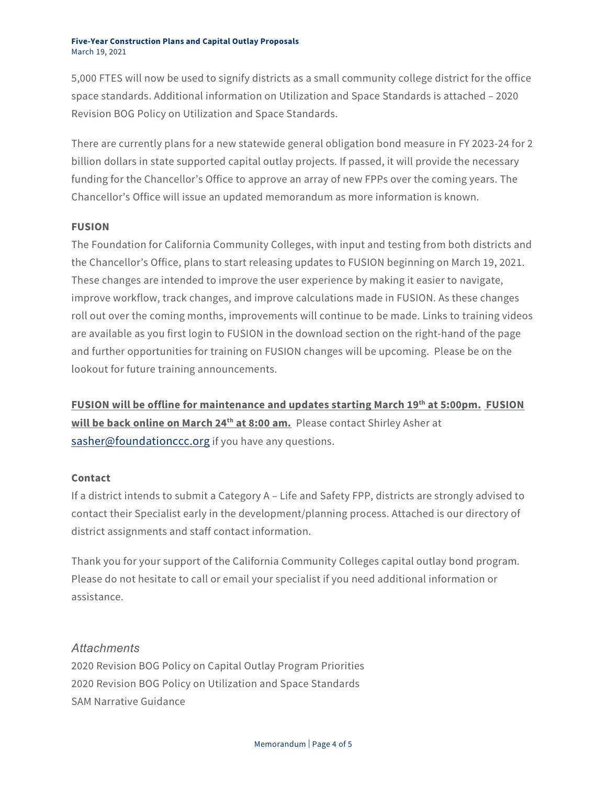#### **Five-Year Construction Plans and Capital Outlay Proposals** March 19, 2021

5,000 FTES will now be used to signify districts as a small community college district for the office space standards. Additional information on Utilization and Space Standards is attached – 2020 Revision BOG Policy on Utilization and Space Standards.

There are currently plans for a new statewide general obligation bond measure in FY 2023-24 for 2 billion dollars in state supported capital outlay projects. If passed, it will provide the necessary funding for the Chancellor's Office to approve an array of new FPPs over the coming years. The Chancellor's Office will issue an updated memorandum as more information is known.

# **FUSION**

The Foundation for California Community Colleges, with input and testing from both districts and the Chancellor's Office, plans to start releasing updates to FUSION beginning on March 19, 2021. These changes are intended to improve the user experience by making it easier to navigate, improve workflow, track changes, and improve calculations made in FUSION. As these changes roll out over the coming months, improvements will continue to be made. Links to training videos are available as you first login to FUSION in the download section on the right-hand of the page and further opportunities for training on FUSION changes will be upcoming. Please be on the lookout for future training announcements.

**FUSION will be offline for maintenance and updates starting March 19th at 5:00pm. FUSION will be back online on March 24th at 8:00 am.** Please contact Shirley Asher at [sasher@foundationccc.org](mailto:sasher@foundationccc.org) if you have any questions.

# **Contact**

If a district intends to submit a Category A – Life and Safety FPP, districts are strongly advised to contact their Specialist early in the development/planning process. Attached is our directory of district assignments and staff contact information.

Thank you for your support of the California Community Colleges capital outlay bond program. Please do not hesitate to call or email your specialist if you need additional information or assistance.

# *Attachments*

2020 Revision BOG Policy on Capital Outlay Program Priorities 2020 Revision BOG Policy on Utilization and Space Standards SAM Narrative Guidance